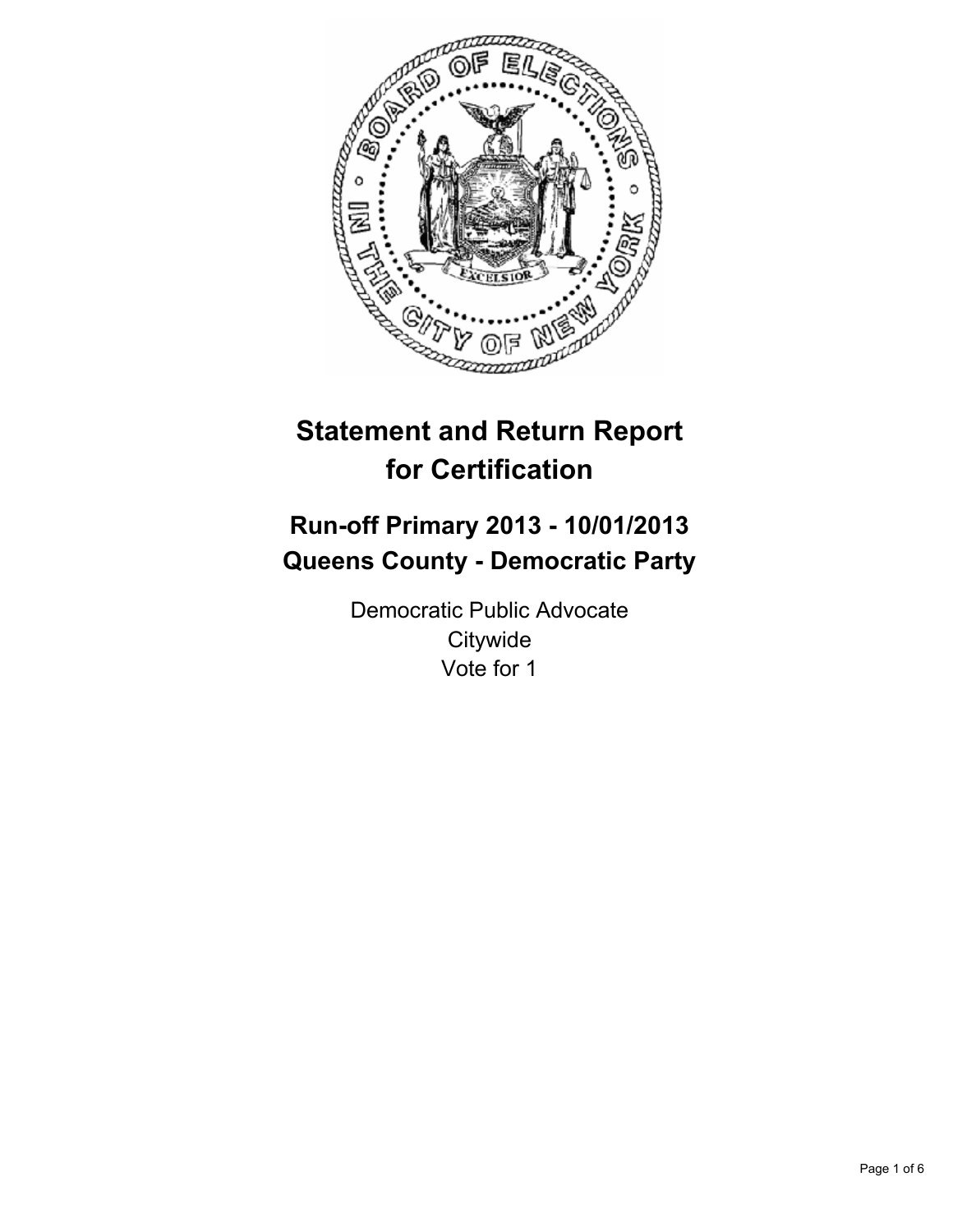

# **Statement and Return Report for Certification**

# **Run-off Primary 2013 - 10/01/2013 Queens County - Democratic Party**

Democratic Public Advocate **Citywide** Vote for 1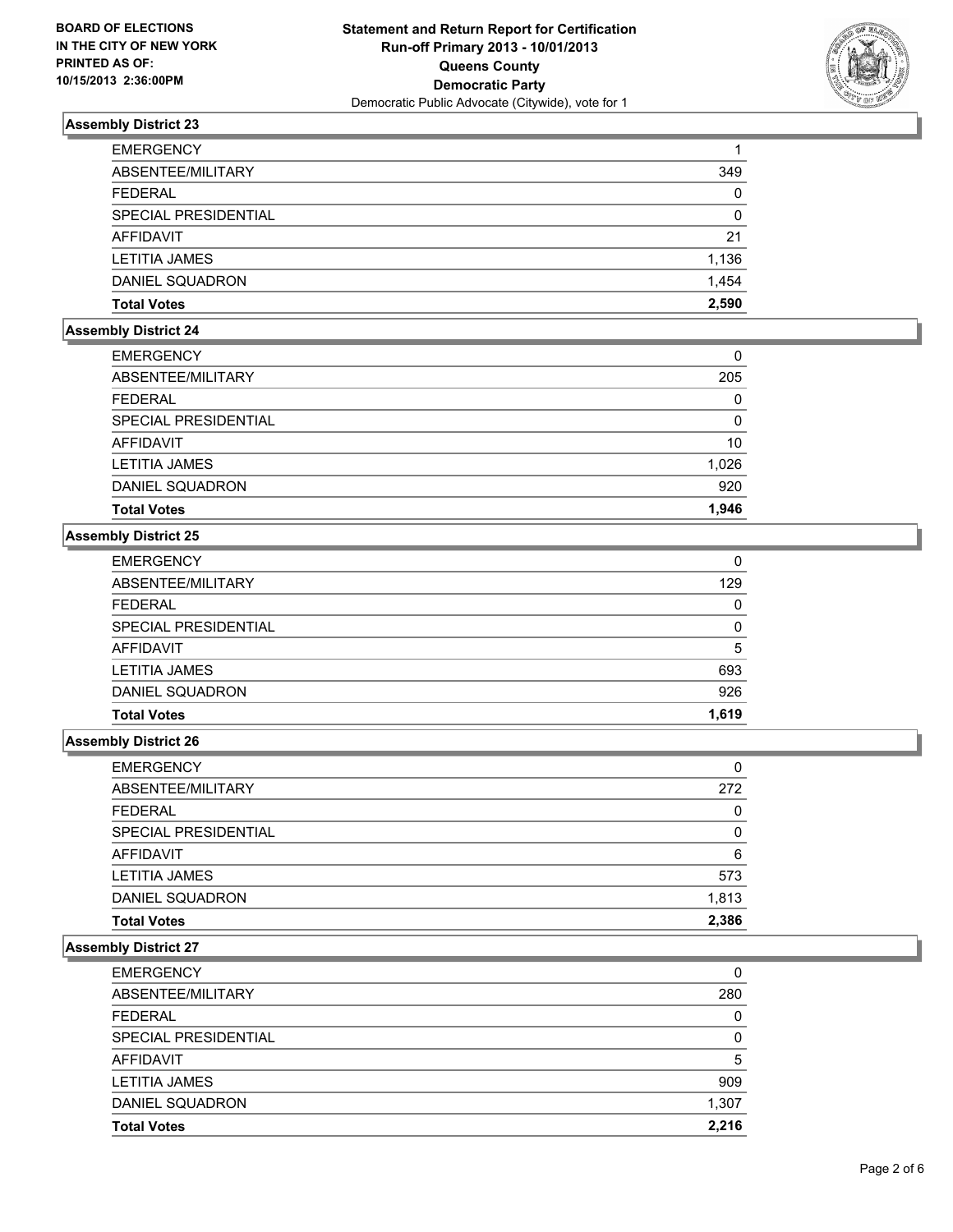

| <b>EMERGENCY</b>     |       |
|----------------------|-------|
| ABSENTEE/MILITARY    | 349   |
| <b>FEDERAL</b>       | 0     |
| SPECIAL PRESIDENTIAL | 0     |
| AFFIDAVIT            | 21    |
| <b>LETITIA JAMES</b> | 1,136 |
| DANIEL SQUADRON      | 1.454 |
| <b>Total Votes</b>   | 2.590 |

# **Assembly District 24**

| <b>EMERGENCY</b>       | 0     |
|------------------------|-------|
| ABSENTEE/MILITARY      | 205   |
| <b>FEDERAL</b>         | 0     |
| SPECIAL PRESIDENTIAL   | 0     |
| AFFIDAVIT              | 10    |
| <b>LETITIA JAMES</b>   | 1,026 |
| <b>DANIEL SQUADRON</b> | 920   |
| <b>Total Votes</b>     | 1.946 |

# **Assembly District 25**

| <b>Total Votes</b>          | 1.619    |
|-----------------------------|----------|
| DANIEL SQUADRON             | 926      |
| <b>LETITIA JAMES</b>        | 693      |
| <b>AFFIDAVIT</b>            | 5        |
| <b>SPECIAL PRESIDENTIAL</b> | $\Omega$ |
| <b>FEDERAL</b>              | 0        |
| ABSENTEE/MILITARY           | 129      |
| <b>EMERGENCY</b>            | 0        |

#### **Assembly District 26**

| <b>EMERGENCY</b>            | 0        |
|-----------------------------|----------|
| ABSENTEE/MILITARY           | 272      |
| <b>FEDERAL</b>              | 0        |
| <b>SPECIAL PRESIDENTIAL</b> | $\Omega$ |
| AFFIDAVIT                   | 6        |
| <b>LETITIA JAMES</b>        | 573      |
| DANIEL SQUADRON             | 1,813    |
| <b>Total Votes</b>          | 2,386    |

| <b>EMERGENCY</b>       | 0            |
|------------------------|--------------|
| ABSENTEE/MILITARY      | 280          |
| <b>FEDERAL</b>         | 0            |
| SPECIAL PRESIDENTIAL   | <sup>0</sup> |
| AFFIDAVIT              | 5            |
| <b>LETITIA JAMES</b>   | 909          |
| <b>DANIEL SQUADRON</b> | 1,307        |
| <b>Total Votes</b>     | 2.216        |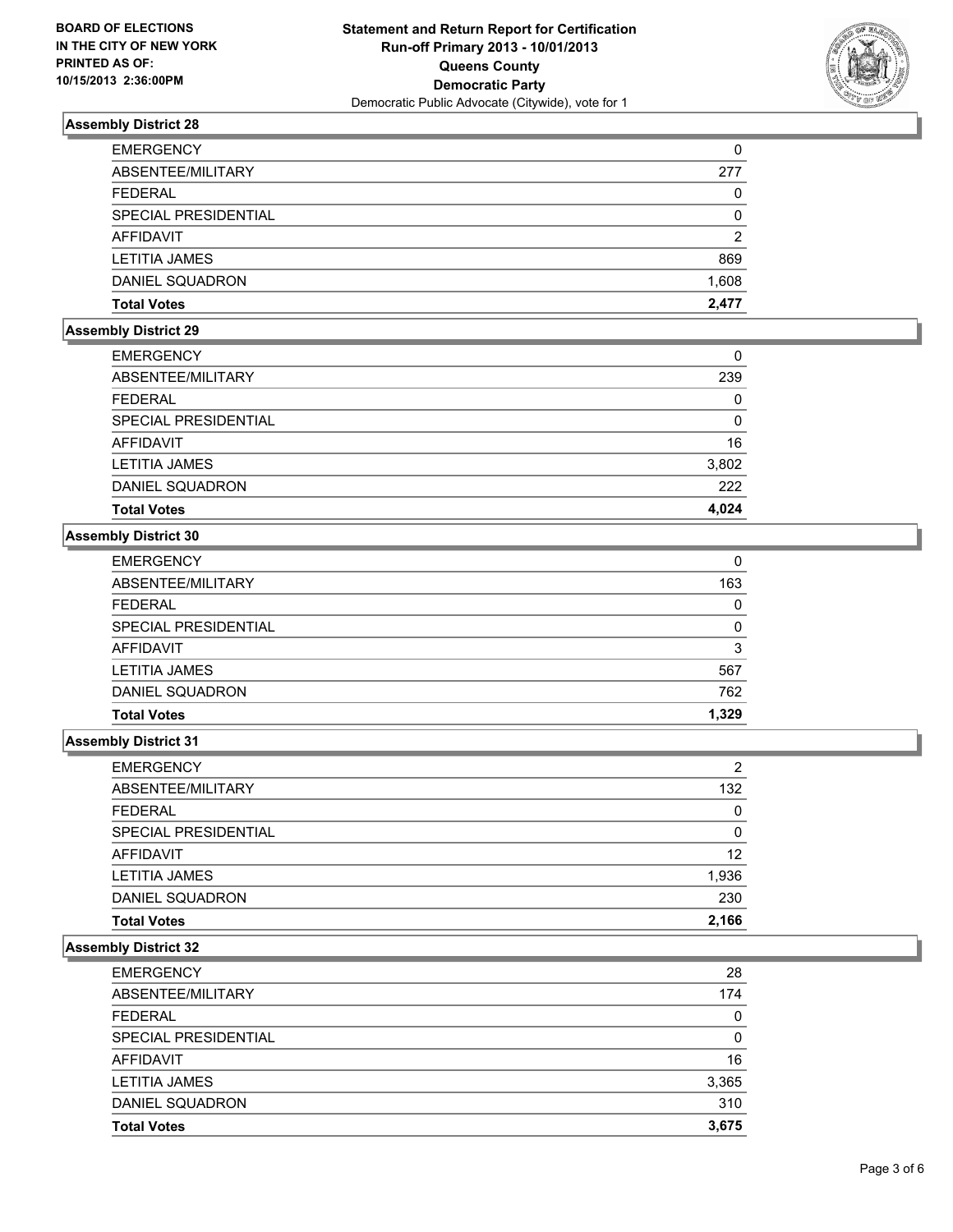

| <b>EMERGENCY</b>       | 0     |
|------------------------|-------|
| ABSENTEE/MILITARY      | 277   |
| <b>FEDERAL</b>         | 0     |
| SPECIAL PRESIDENTIAL   | 0     |
| AFFIDAVIT              | 2     |
| <b>LETITIA JAMES</b>   | 869   |
| <b>DANIEL SQUADRON</b> | 1,608 |
| <b>Total Votes</b>     | 2.477 |

# **Assembly District 29**

| <b>EMERGENCY</b>     | 0     |
|----------------------|-------|
| ABSENTEE/MILITARY    | 239   |
| <b>FEDERAL</b>       | 0     |
| SPECIAL PRESIDENTIAL | 0     |
| AFFIDAVIT            | 16    |
| LETITIA JAMES        | 3,802 |
| DANIEL SQUADRON      | 222   |
| <b>Total Votes</b>   | 4.024 |

# **Assembly District 30**

| <b>Total Votes</b>   | 1,329    |
|----------------------|----------|
| DANIEL SQUADRON      | 762      |
| <b>LETITIA JAMES</b> | 567      |
| AFFIDAVIT            | 3        |
| SPECIAL PRESIDENTIAL | $\Omega$ |
| <b>FEDERAL</b>       | 0        |
| ABSENTEE/MILITARY    | 163      |
| <b>EMERGENCY</b>     | 0        |

#### **Assembly District 31**

| <b>EMERGENCY</b>            | 2        |
|-----------------------------|----------|
| ABSENTEE/MILITARY           | 132      |
| <b>FEDERAL</b>              | 0        |
| <b>SPECIAL PRESIDENTIAL</b> | $\Omega$ |
| <b>AFFIDAVIT</b>            | 12       |
| <b>LETITIA JAMES</b>        | 1,936    |
| DANIEL SQUADRON             | 230      |
| <b>Total Votes</b>          | 2,166    |

| <b>EMERGENCY</b>     | 28    |
|----------------------|-------|
| ABSENTEE/MILITARY    | 174   |
| <b>FEDERAL</b>       | 0     |
| SPECIAL PRESIDENTIAL | 0     |
| AFFIDAVIT            | 16    |
| <b>LETITIA JAMES</b> | 3,365 |
| DANIEL SQUADRON      | 310   |
| <b>Total Votes</b>   | 3.675 |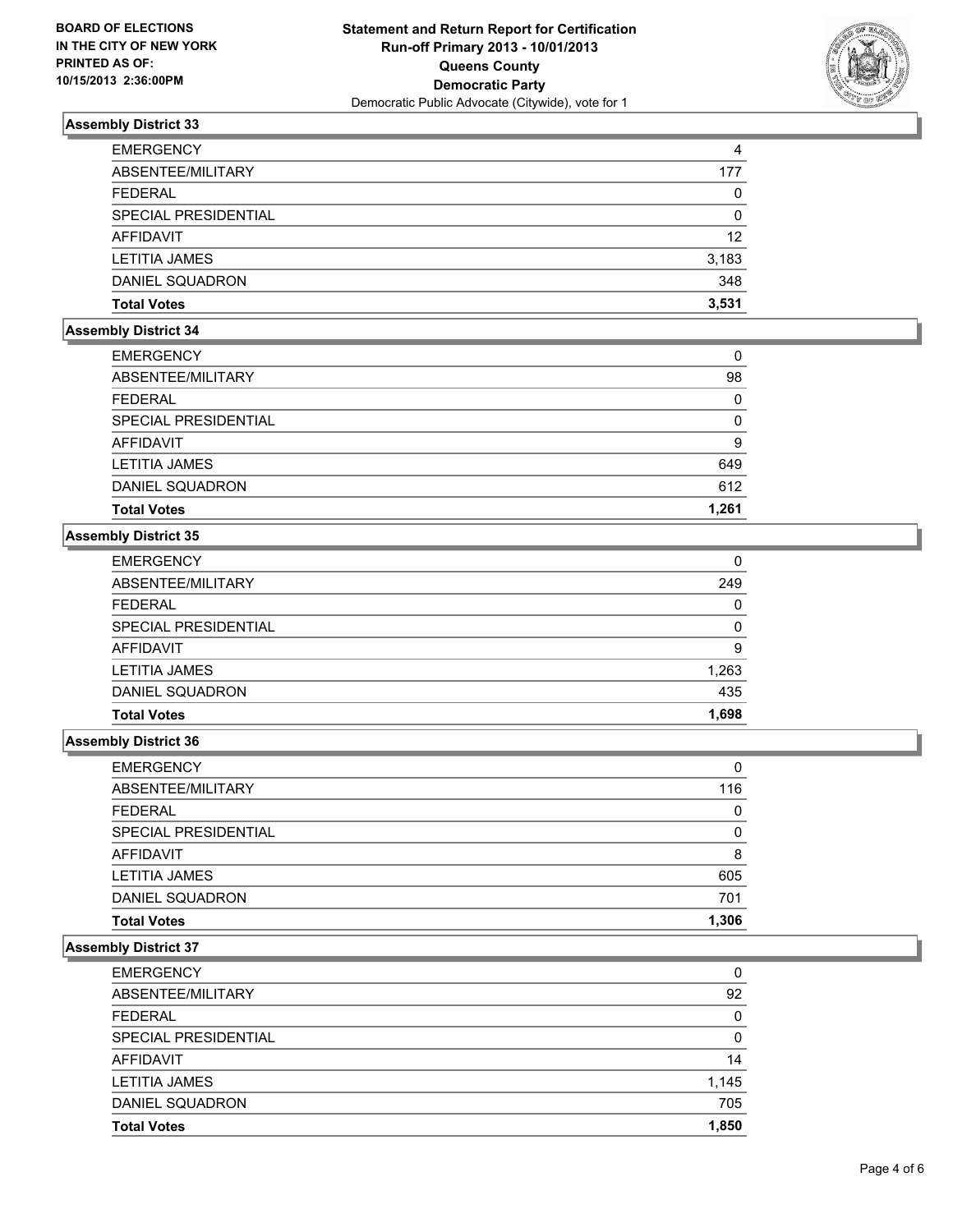

| <b>EMERGENCY</b>     | 4            |
|----------------------|--------------|
| ABSENTEE/MILITARY    | 177          |
| <b>FEDERAL</b>       | $\mathbf{0}$ |
| SPECIAL PRESIDENTIAL | 0            |
| AFFIDAVIT            | 12           |
| <b>LETITIA JAMES</b> | 3,183        |
| DANIEL SQUADRON      | 348          |
| <b>Total Votes</b>   | 3.531        |

## **Assembly District 34**

| <b>EMERGENCY</b>     | 0     |
|----------------------|-------|
| ABSENTEE/MILITARY    | 98    |
| <b>FEDERAL</b>       | 0     |
| SPECIAL PRESIDENTIAL | 0     |
| AFFIDAVIT            | 9     |
| LETITIA JAMES        | 649   |
| DANIEL SQUADRON      | 612   |
| <b>Total Votes</b>   | 1,261 |

# **Assembly District 35**

| <b>Total Votes</b>   | 1,698    |
|----------------------|----------|
| DANIEL SQUADRON      | 435      |
| <b>LETITIA JAMES</b> | 1,263    |
| AFFIDAVIT            | 9        |
| SPECIAL PRESIDENTIAL | $\Omega$ |
| <b>FEDERAL</b>       | 0        |
| ABSENTEE/MILITARY    | 249      |
| <b>EMERGENCY</b>     | 0        |

#### **Assembly District 36**

| <b>EMERGENCY</b>            | 0        |
|-----------------------------|----------|
| ABSENTEE/MILITARY           | 116      |
| <b>FEDERAL</b>              | 0        |
| <b>SPECIAL PRESIDENTIAL</b> | $\Omega$ |
| <b>AFFIDAVIT</b>            | 8        |
| <b>LETITIA JAMES</b>        | 605      |
| DANIEL SQUADRON             | 701      |
| <b>Total Votes</b>          | 1,306    |

| <b>EMERGENCY</b>     | 0     |
|----------------------|-------|
| ABSENTEE/MILITARY    | 92    |
| <b>FEDERAL</b>       | 0     |
| SPECIAL PRESIDENTIAL | 0     |
| <b>AFFIDAVIT</b>     | 14    |
| <b>LETITIA JAMES</b> | 1,145 |
| DANIEL SQUADRON      | 705   |
| <b>Total Votes</b>   | 1.850 |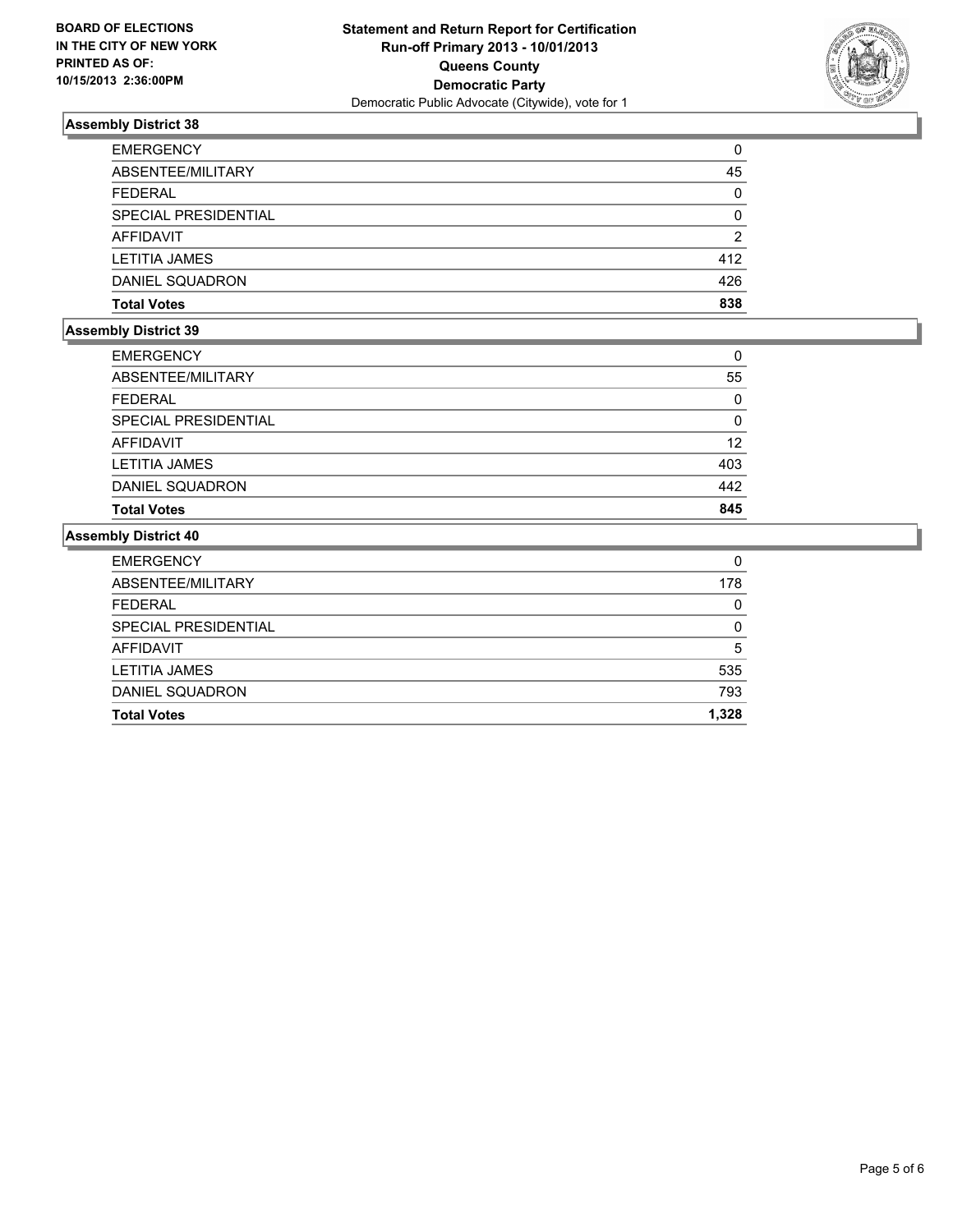

| <b>Total Votes</b>   | 838      |
|----------------------|----------|
| DANIEL SQUADRON      | 426      |
| <b>LETITIA JAMES</b> | 412      |
| AFFIDAVIT            | 2        |
| SPECIAL PRESIDENTIAL | $\Omega$ |
| <b>FEDERAL</b>       | 0        |
| ABSENTEE/MILITARY    | 45       |
| <b>EMERGENCY</b>     | 0        |

# **Assembly District 39**

| <b>EMERGENCY</b>       | 0        |
|------------------------|----------|
| ABSENTEE/MILITARY      | 55       |
| <b>FEDERAL</b>         | $\Omega$ |
| SPECIAL PRESIDENTIAL   | 0        |
| <b>AFFIDAVIT</b>       | 12       |
| <b>LETITIA JAMES</b>   | 403      |
| <b>DANIEL SQUADRON</b> | 442      |
| <b>Total Votes</b>     | 845      |

| <b>Total Votes</b>   | 1,328    |
|----------------------|----------|
| DANIEL SQUADRON      | 793      |
| <b>LETITIA JAMES</b> | 535      |
| AFFIDAVIT            | 5        |
| SPECIAL PRESIDENTIAL | $\Omega$ |
| <b>FEDERAL</b>       | 0        |
| ABSENTEE/MILITARY    | 178      |
| <b>EMERGENCY</b>     | 0        |